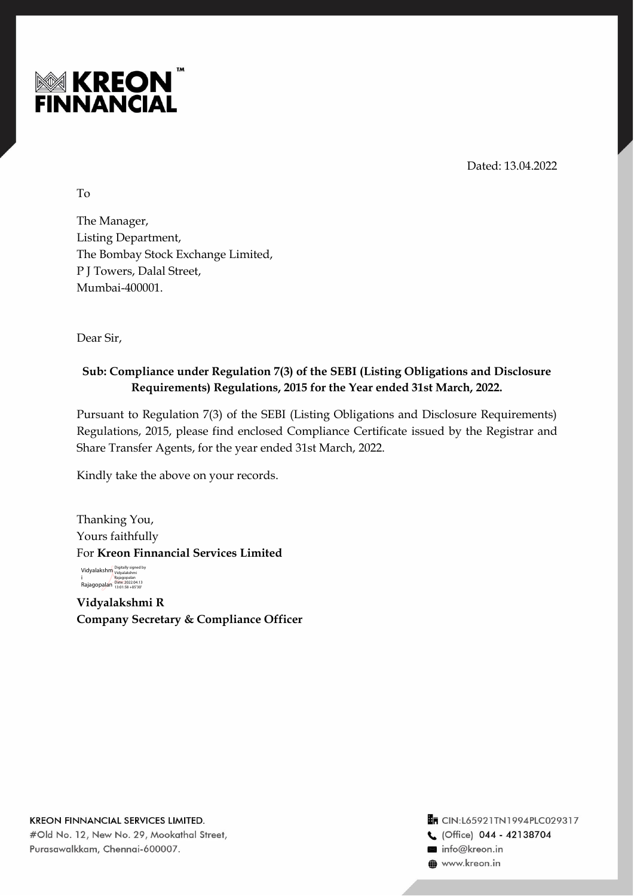

Dated: 13.04.2022

To

The Manager, Listing Department, The Bombay Stock Exchange Limited, P J Towers, Dalal Street, Mumbai-400001.

Dear Sir,

## **Sub: Compliance under Regulation 7(3) of the SEBI (Listing Obligations and Disclosure Requirements) Regulations, 2015 for the Year ended 31st March, 2022.**

Pursuant to Regulation 7(3) of the SEBI (Listing Obligations and Disclosure Requirements) Regulations, 2015, please find enclosed Compliance Certificate issued by the Registrar and Share Transfer Agents, for the year ended 31st March, 2022.

Kindly take the above on your records.

Thanking You, Yours faithfully For **Kreon Finnancial Services Limited**

Vidyalakshm Digitally signed by i Rajagopalan Rajagopalan Date: 2022.04.13 13:01:58 +05'30'

**Vidyalakshmi R Company Secretary & Compliance Officer**

**KREON FINNANCIAL SERVICES LIMITED.** #Old No. 12, New No. 29, Mookathal Street, Purasawalkkam, Chennai-600007.

TR CIN:L65921TN1994PLC029317 C (Office) 044 - 42138704 info@kreon.in **O** www.kreon.in